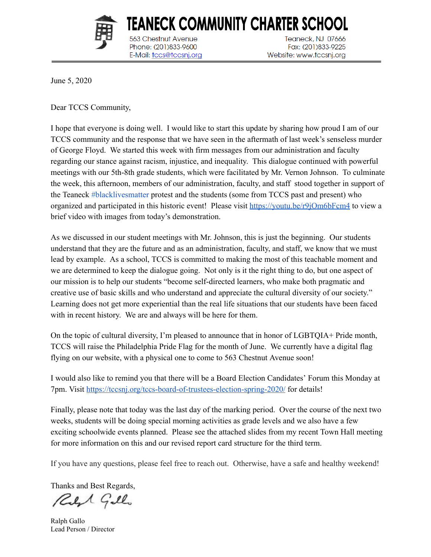

563 Chestnut Avenue

Phone: (201)833-9600

E-Mail: tccs@tccsnj.org

Teaneck, NJ 07666 Fax: (201)833-9225 Website: www.tccsnj.org

June 5, 2020

Dear TCCS Community,

I hope that everyone is doing well. I would like to start this update by sharing how proud I am of our TCCS community and the response that we have seen in the aftermath of last week's senseless murder of George Floyd. We started this week with firm messages from our administration and faculty regarding our stance against racism, injustice, and inequality. This dialogue continued with powerful meetings with our 5th-8th grade students, which were facilitated by Mr. Vernon Johnson. To culminate the week, this afternoon, members of our administration, faculty, and staff stood together in support of the Teaneck [#blacklivesmatter](https://www.facebook.com/hashtag/blacklivesmatter?__eep__=6&__cft__[0]=AZXBJgigWf9j5HiV38OPWK1ZuFEbs9pLzaByk1BgP5fCu77tgIyI7S9Ucu207RyqebOK2IEUvFEpAFZKZE4DMViuWjmD4sAoYnblzxiZ8J_PEITV15vID2pa-qM26lAmpsw&__tn__=*NK-R) protest and the students (some from TCCS past and present) who organized and participated in this historic event! Please visit <https://youtu.be/r9jOm6bFcm4> to view a brief video with images from today's demonstration.

TEANECK COMMUNITY CHARTER SCHOOL

As we discussed in our student meetings with Mr. Johnson, this is just the beginning. Our students understand that they are the future and as an administration, faculty, and staff, we know that we must lead by example. As a school, TCCS is committed to making the most of this teachable moment and we are determined to keep the dialogue going. Not only is it the right thing to do, but one aspect of our mission is to help our students "become self-directed learners, who make both pragmatic and creative use of basic skills and who understand and appreciate the cultural diversity of our society." Learning does not get more experiential than the real life situations that our students have been faced with in recent history. We are and always will be here for them.

On the topic of cultural diversity, I'm pleased to announce that in honor of LGBTQIA+ Pride month, TCCS will raise the Philadelphia Pride Flag for the month of June. We currently have a digital flag flying on our website, with a physical one to come to 563 Chestnut Avenue soon!

I would also like to remind you that there will be a Board Election Candidates' Forum this Monday at 7pm. Visit <https://tccsnj.org/tccs-board-of-trustees-election-spring-2020/> for details!

Finally, please note that today was the last day of the marking period. Over the course of the next two weeks, students will be doing special morning activities as grade levels and we also have a few exciting schoolwide events planned. Please see the attached slides from my recent Town Hall meeting for more information on this and our revised report card structure for the third term.

If you have any questions, please feel free to reach out. Otherwise, have a safe and healthy weekend!

Thanks and Best Regards,

Reft Gillo

Ralph Gallo Lead Person / Director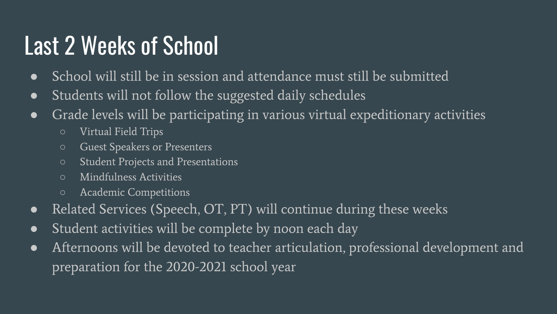## Last 2 Weeks of School

- School will still be in session and attendance must still be submitted
- Students will not follow the suggested daily schedules
- Grade levels will be participating in various virtual expeditionary activities
	- Virtual Field Trips
	- Guest Speakers or Presenters
	- Student Projects and Presentations
	- Mindfulness Activities
	- Academic Competitions
- Related Services (Speech, OT, PT) will continue during these weeks
- Student activities will be complete by noon each day
- Afternoons will be devoted to teacher articulation, professional development and preparation for the 2020-2021 school year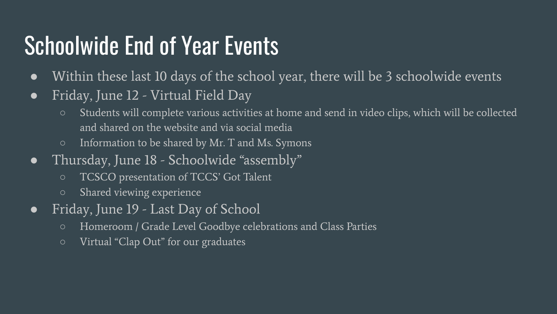## Schoolwide End of Year Events

- Within these last 10 days of the school year, there will be 3 schoolwide events
- Friday, June 12 Virtual Field Day
	- Students will complete various activities at home and send in video clips, which will be collected and shared on the website and via social media
	- Information to be shared by Mr. T and Ms. Symons
- Thursday, June 18 Schoolwide "assembly"
	- TCSCO presentation of TCCS' Got Talent
	- Shared viewing experience
- Friday, June 19 Last Day of School
	- Homeroom / Grade Level Goodbye celebrations and Class Parties
	- Virtual "Clap Out" for our graduates